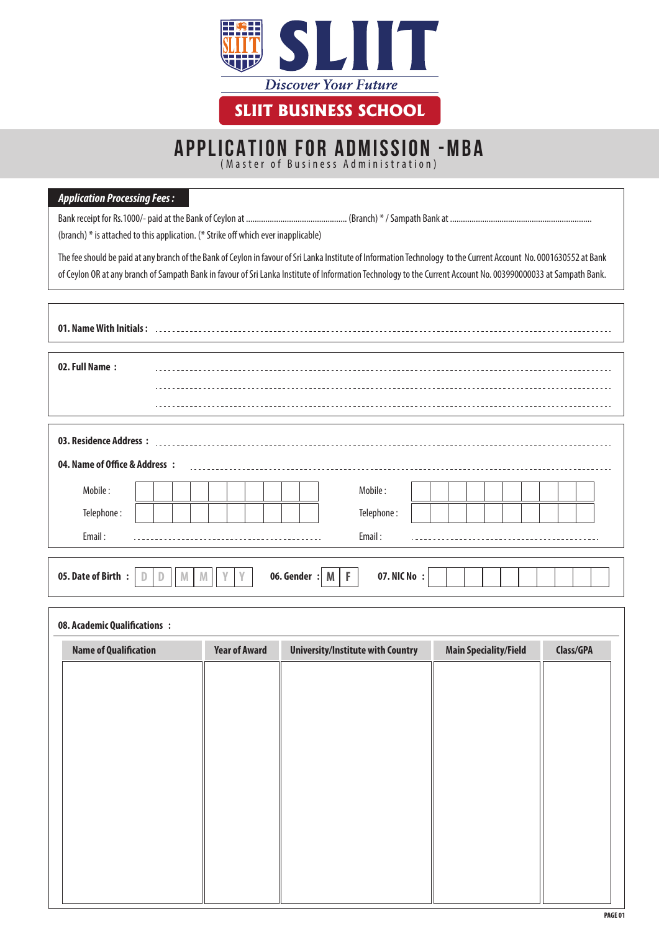

# APPLICATION FOR ADMISSION -MBA

(Master of Business Administration)

#### *Application Processing Fees :*

Bank receipt for Rs.1000/- paid at the Bank of Ceylon at ............................................... (Branch) \* / Sampath Bank at ..................................................................

(branch) \* is attached to this application. (\* Strike off which ever inapplicable)

The fee should be paid at any branch of the Bank of Ceylon in favour of Sri Lanka Institute of Information Technology to the Current Account No. 0001630552 at Bank of Ceylon OR at any branch of Sampath Bank in favour of Sri Lanka Institute of Information Technology to the Current Account No. 003990000033 at Sampath Bank.

| 01. Name With Initials:        |              |                        |
|--------------------------------|--------------|------------------------|
|                                |              |                        |
| 02. Full Name:                 |              |                        |
|                                |              |                        |
|                                |              |                        |
|                                |              |                        |
| 03. Residence Address:         |              |                        |
| 04. Name of Office & Address : |              |                        |
| Mobile:                        |              | Mobile:                |
| Telephone:                     |              | Telephone:             |
| Email:                         |              | Email:                 |
|                                |              |                        |
| 05. Date of Birth :            | 06. Gender : | 07. NIC No :<br>F<br>M |

| 08. Academic Qualifications : |                      |                                          |                              |           |
|-------------------------------|----------------------|------------------------------------------|------------------------------|-----------|
| <b>Name of Qualification</b>  | <b>Year of Award</b> | <b>University/Institute with Country</b> | <b>Main Speciality/Field</b> | Class/GPA |
|                               |                      |                                          |                              |           |
|                               |                      |                                          |                              |           |
|                               |                      |                                          |                              |           |
|                               |                      |                                          |                              |           |
|                               |                      |                                          |                              |           |
|                               |                      |                                          |                              |           |
|                               |                      |                                          |                              |           |
|                               |                      |                                          |                              |           |
|                               |                      |                                          |                              |           |
|                               |                      |                                          |                              |           |
|                               |                      |                                          |                              |           |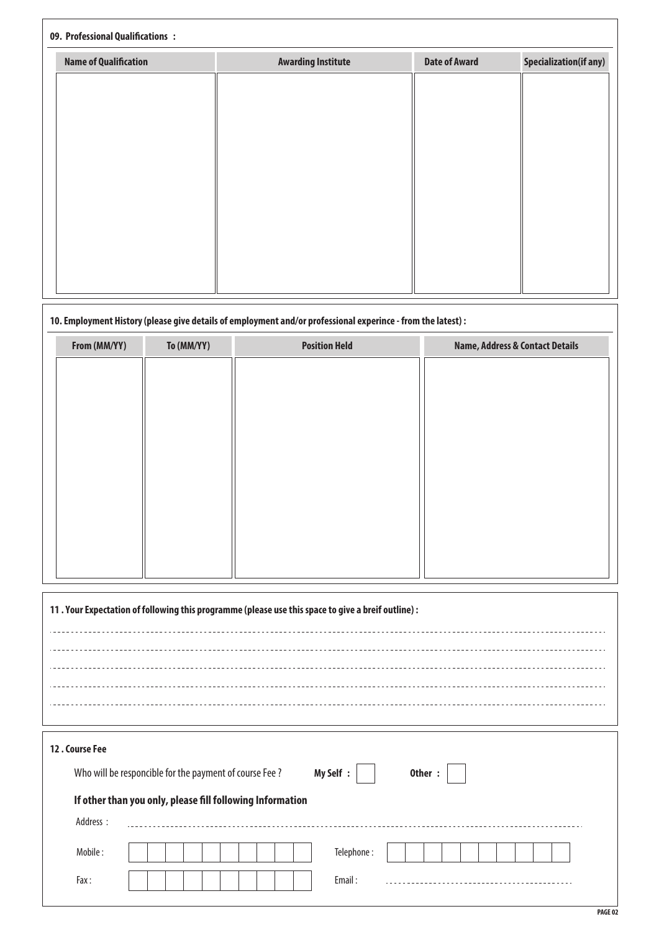### **09. Professional Qualifications :**

| <b>Name of Qualification</b> | <b>Awarding Institute</b> | <b>Date of Award</b> | <b>Specialization(if any)</b> |
|------------------------------|---------------------------|----------------------|-------------------------------|
|                              |                           |                      |                               |
|                              |                           |                      |                               |
|                              |                           |                      |                               |
|                              |                           |                      |                               |
|                              |                           |                      |                               |
|                              |                           |                      |                               |
|                              |                           |                      |                               |
|                              |                           |                      |                               |
|                              |                           |                      |                               |
|                              |                           |                      |                               |

### **10. Employment History (please give details of employment and/or professional experince - from the latest) :**

| From (MM/YY) | To (MM/YY) | <b>Position Held</b> | <b>Name, Address &amp; Contact Details</b> |
|--------------|------------|----------------------|--------------------------------------------|
|              |            |                      |                                            |
|              |            |                      |                                            |
|              |            |                      |                                            |
|              |            |                      |                                            |
|              |            |                      |                                            |
|              |            |                      |                                            |
|              |            |                      |                                            |
|              |            |                      |                                            |
|              |            |                      |                                            |
|              |            |                      |                                            |
|              |            |                      |                                            |

| 11. Your Expectation of following this programme (please use this space to give a breif outline) : |  |  |  |  |
|----------------------------------------------------------------------------------------------------|--|--|--|--|
|                                                                                                    |  |  |  |  |
|                                                                                                    |  |  |  |  |
|                                                                                                    |  |  |  |  |
|                                                                                                    |  |  |  |  |
|                                                                                                    |  |  |  |  |
| 12. Course Fee<br>My Self :<br>Other:<br>Who will be responcible for the payment of course Fee?    |  |  |  |  |
| If other than you only, please fill following Information                                          |  |  |  |  |
| Address :                                                                                          |  |  |  |  |
| Telephone:<br>Mobile:                                                                              |  |  |  |  |
| Email:<br>Fax:<br>-------------------------                                                        |  |  |  |  |